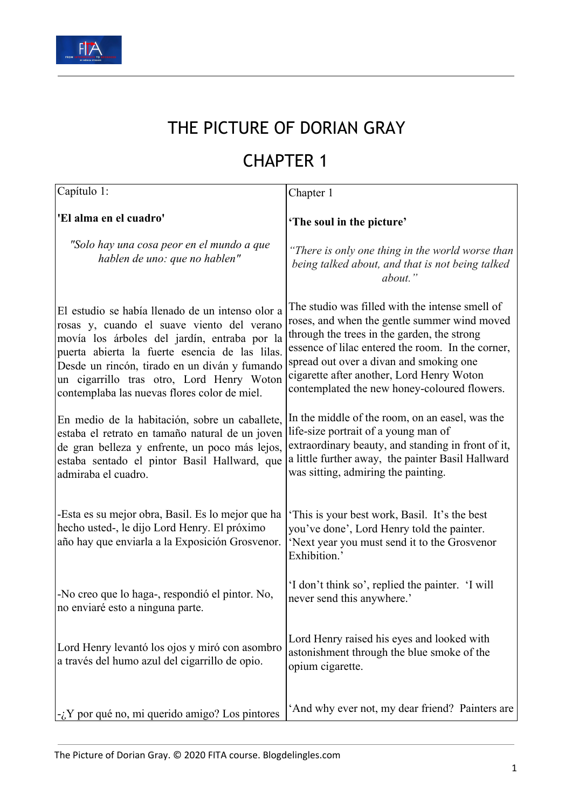

## THE PICTURE OF DORIAN GRAY

## CHAPTER 1

| Capítulo 1:                                                                                                                                                                                                                                                                                                                                    | Chapter 1                                                                                                                                                                                                                                                                                                                                   |
|------------------------------------------------------------------------------------------------------------------------------------------------------------------------------------------------------------------------------------------------------------------------------------------------------------------------------------------------|---------------------------------------------------------------------------------------------------------------------------------------------------------------------------------------------------------------------------------------------------------------------------------------------------------------------------------------------|
| 'El alma en el cuadro'                                                                                                                                                                                                                                                                                                                         | 'The soul in the picture'                                                                                                                                                                                                                                                                                                                   |
| "Solo hay una cosa peor en el mundo a que<br>hablen de uno: que no hablen"                                                                                                                                                                                                                                                                     | "There is only one thing in the world worse than<br>being talked about, and that is not being talked<br>about."                                                                                                                                                                                                                             |
| El estudio se había llenado de un intenso olor a<br>rosas y, cuando el suave viento del verano<br>movía los árboles del jardín, entraba por la<br>puerta abierta la fuerte esencia de las lilas.<br>Desde un rincón, tirado en un diván y fumando<br>un cigarrillo tras otro, Lord Henry Woton<br>contemplaba las nuevas flores color de miel. | The studio was filled with the intense smell of<br>roses, and when the gentle summer wind moved<br>through the trees in the garden, the strong<br>essence of lilac entered the room. In the corner,<br>spread out over a divan and smoking one<br>cigarette after another, Lord Henry Woton<br>contemplated the new honey-coloured flowers. |
| En medio de la habitación, sobre un caballete,<br>estaba el retrato en tamaño natural de un joven<br>de gran belleza y enfrente, un poco más lejos,<br>estaba sentado el pintor Basil Hallward, que<br>admiraba el cuadro.                                                                                                                     | In the middle of the room, on an easel, was the<br>life-size portrait of a young man of<br>extraordinary beauty, and standing in front of it,<br>a little further away, the painter Basil Hallward<br>was sitting, admiring the painting.                                                                                                   |
| -Esta es su mejor obra, Basil. Es lo mejor que ha<br>hecho usted-, le dijo Lord Henry. El próximo<br>año hay que enviarla a la Exposición Grosvenor.                                                                                                                                                                                           | This is your best work, Basil. It's the best<br>you've done', Lord Henry told the painter.<br>'Next year you must send it to the Grosvenor<br>Exhibition.'                                                                                                                                                                                  |
| -No creo que lo haga-, respondió el pintor. No,<br>no enviaré esto a ninguna parte.                                                                                                                                                                                                                                                            | 'I don't think so', replied the painter. 'I will<br>never send this anywhere.'                                                                                                                                                                                                                                                              |
| Lord Henry levantó los ojos y miró con asombro<br>a través del humo azul del cigarrillo de opio.                                                                                                                                                                                                                                               | Lord Henry raised his eyes and looked with<br>astonishment through the blue smoke of the<br>opium cigarette.                                                                                                                                                                                                                                |
| $-$ ¿Y por qué no, mi querido amigo? Los pintores                                                                                                                                                                                                                                                                                              | 'And why ever not, my dear friend? Painters are                                                                                                                                                                                                                                                                                             |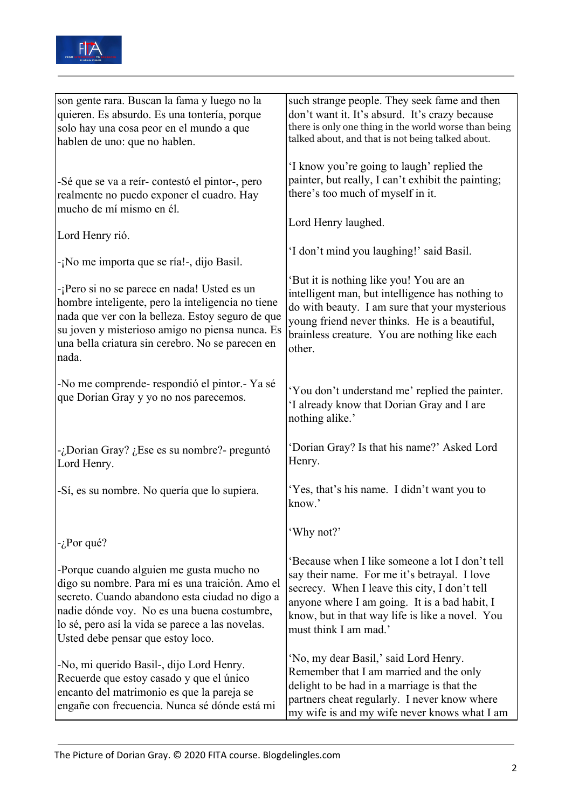

| son gente rara. Buscan la fama y luego no la      | such strange people. They seek fame and then          |
|---------------------------------------------------|-------------------------------------------------------|
| quieren. Es absurdo. Es una tontería, porque      | don't want it. It's absurd. It's crazy because        |
| solo hay una cosa peor en el mundo a que          | there is only one thing in the world worse than being |
| hablen de uno: que no hablen.                     | talked about, and that is not being talked about.     |
|                                                   |                                                       |
|                                                   | 'I know you're going to laugh' replied the            |
| -Sé que se va a reír-contestó el pintor-, pero    | painter, but really, I can't exhibit the painting;    |
|                                                   | there's too much of myself in it.                     |
| realmente no puedo exponer el cuadro. Hay         |                                                       |
| mucho de mí mismo en él.                          |                                                       |
|                                                   | Lord Henry laughed.                                   |
| Lord Henry rió.                                   |                                                       |
|                                                   | 'I don't mind you laughing!' said Basil.              |
| -¡No me importa que se ría!-, dijo Basil.         |                                                       |
|                                                   | 'But it is nothing like you! You are an               |
| -¡Pero si no se parece en nada! Usted es un       | intelligent man, but intelligence has nothing to      |
| hombre inteligente, pero la inteligencia no tiene | do with beauty. I am sure that your mysterious        |
| nada que ver con la belleza. Estoy seguro de que  | young friend never thinks. He is a beautiful,         |
| su joven y misterioso amigo no piensa nunca. Es   | brainless creature. You are nothing like each         |
| una bella criatura sin cerebro. No se parecen en  | other.                                                |
| nada.                                             |                                                       |
|                                                   |                                                       |
| -No me comprende-respondió el pintor. - Ya sé     |                                                       |
| que Dorian Gray y yo no nos parecemos.            | 'You don't understand me' replied the painter.        |
|                                                   | 'I already know that Dorian Gray and I are            |
|                                                   | nothing alike.'                                       |
|                                                   |                                                       |
| -¿Dorian Gray? ¿Ese es su nombre?- preguntó       | 'Dorian Gray? Is that his name?' Asked Lord           |
| Lord Henry.                                       | Henry.                                                |
|                                                   |                                                       |
| -Sí, es su nombre. No quería que lo supiera.      | 'Yes, that's his name. I didn't want you to           |
|                                                   | know.'                                                |
|                                                   |                                                       |
|                                                   |                                                       |
|                                                   | 'Why not?'                                            |
| $-i$ Por qué?                                     |                                                       |
|                                                   | 'Because when I like someone a lot I don't tell       |
| -Porque cuando alguien me gusta mucho no          | say their name. For me it's betrayal. I love          |
| digo su nombre. Para mí es una traición. Amo el   | secrecy. When I leave this city, I don't tell         |
| secreto. Cuando abandono esta ciudad no digo a    | anyone where I am going. It is a bad habit, I         |
| nadie dónde voy. No es una buena costumbre,       | know, but in that way life is like a novel. You       |
| lo sé, pero así la vida se parece a las novelas.  | must think I am mad.'                                 |
| Usted debe pensar que estoy loco.                 |                                                       |
|                                                   |                                                       |
| -No, mi querido Basil-, dijo Lord Henry.          | 'No, my dear Basil,' said Lord Henry.                 |
| Recuerde que estoy casado y que el único          | Remember that I am married and the only               |
| encanto del matrimonio es que la pareja se        | delight to be had in a marriage is that the           |
| engañe con frecuencia. Nunca sé dónde está mi     | partners cheat regularly. I never know where          |
|                                                   | my wife is and my wife never knows what I am          |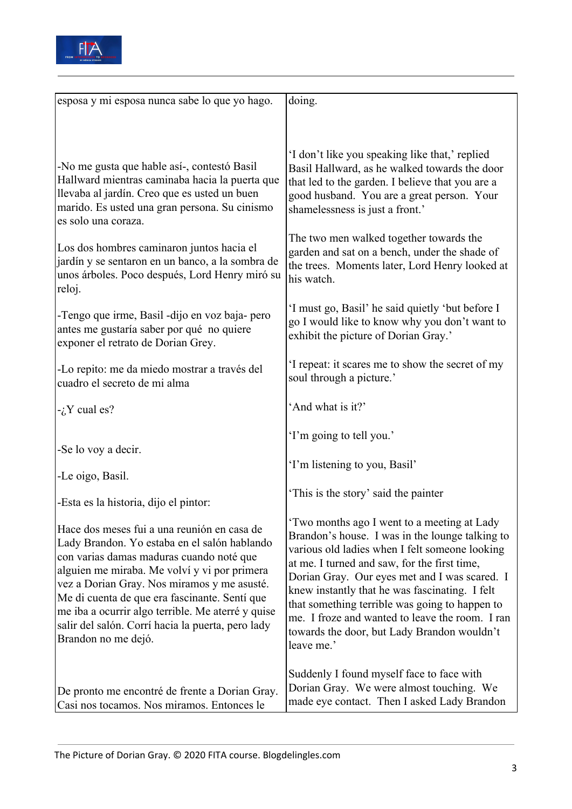

| esposa y mi esposa nunca sabe lo que yo hago.                                                                                                                                                                                                                                                                                                                                                                            | doing.                                                                                                                                                                                                                                                                                                                                                                                                                                                                |
|--------------------------------------------------------------------------------------------------------------------------------------------------------------------------------------------------------------------------------------------------------------------------------------------------------------------------------------------------------------------------------------------------------------------------|-----------------------------------------------------------------------------------------------------------------------------------------------------------------------------------------------------------------------------------------------------------------------------------------------------------------------------------------------------------------------------------------------------------------------------------------------------------------------|
|                                                                                                                                                                                                                                                                                                                                                                                                                          |                                                                                                                                                                                                                                                                                                                                                                                                                                                                       |
| -No me gusta que hable así-, contestó Basil<br>Hallward mientras caminaba hacia la puerta que<br>llevaba al jardín. Creo que es usted un buen<br>marido. Es usted una gran persona. Su cinismo<br>es solo una coraza.                                                                                                                                                                                                    | 'I don't like you speaking like that,' replied<br>Basil Hallward, as he walked towards the door<br>that led to the garden. I believe that you are a<br>good husband. You are a great person. Your<br>shamelessness is just a front.'                                                                                                                                                                                                                                  |
| Los dos hombres caminaron juntos hacia el<br>jardín y se sentaron en un banco, a la sombra de<br>unos árboles. Poco después, Lord Henry miró su<br>reloj.                                                                                                                                                                                                                                                                | The two men walked together towards the<br>garden and sat on a bench, under the shade of<br>the trees. Moments later, Lord Henry looked at<br>his watch.                                                                                                                                                                                                                                                                                                              |
| -Tengo que irme, Basil -dijo en voz baja- pero<br>antes me gustaría saber por qué no quiere<br>exponer el retrato de Dorian Grey.                                                                                                                                                                                                                                                                                        | 'I must go, Basil' he said quietly 'but before I<br>go I would like to know why you don't want to<br>exhibit the picture of Dorian Gray.'                                                                                                                                                                                                                                                                                                                             |
| -Lo repito: me da miedo mostrar a través del<br>cuadro el secreto de mi alma                                                                                                                                                                                                                                                                                                                                             | 'I repeat: it scares me to show the secret of my<br>soul through a picture.'                                                                                                                                                                                                                                                                                                                                                                                          |
| $-i$ , Y cual es?                                                                                                                                                                                                                                                                                                                                                                                                        | 'And what is it?'                                                                                                                                                                                                                                                                                                                                                                                                                                                     |
| -Se lo voy a decir.                                                                                                                                                                                                                                                                                                                                                                                                      | 'I'm going to tell you.'<br>'I'm listening to you, Basil'                                                                                                                                                                                                                                                                                                                                                                                                             |
| -Le oigo, Basil.                                                                                                                                                                                                                                                                                                                                                                                                         | This is the story' said the painter                                                                                                                                                                                                                                                                                                                                                                                                                                   |
| -Esta es la historia, dijo el pintor:                                                                                                                                                                                                                                                                                                                                                                                    |                                                                                                                                                                                                                                                                                                                                                                                                                                                                       |
| Hace dos meses fui a una reunión en casa de<br>Lady Brandon. Yo estaba en el salón hablando<br>con varias damas maduras cuando noté que<br>alguien me miraba. Me volví y vi por primera<br>vez a Dorian Gray. Nos miramos y me asusté.<br>Me di cuenta de que era fascinante. Sentí que<br>me iba a ocurrir algo terrible. Me aterré y quise<br>salir del salón. Corrí hacia la puerta, pero lady<br>Brandon no me dejó. | 'Two months ago I went to a meeting at Lady<br>Brandon's house. I was in the lounge talking to<br>various old ladies when I felt someone looking<br>at me. I turned and saw, for the first time,<br>Dorian Gray. Our eyes met and I was scared. I<br>knew instantly that he was fascinating. I felt<br>that something terrible was going to happen to<br>me. I froze and wanted to leave the room. I ran<br>towards the door, but Lady Brandon wouldn't<br>leave me.' |
| De pronto me encontré de frente a Dorian Gray.<br>Casi nos tocamos. Nos miramos. Entonces le                                                                                                                                                                                                                                                                                                                             | Suddenly I found myself face to face with<br>Dorian Gray. We were almost touching. We<br>made eye contact. Then I asked Lady Brandon                                                                                                                                                                                                                                                                                                                                  |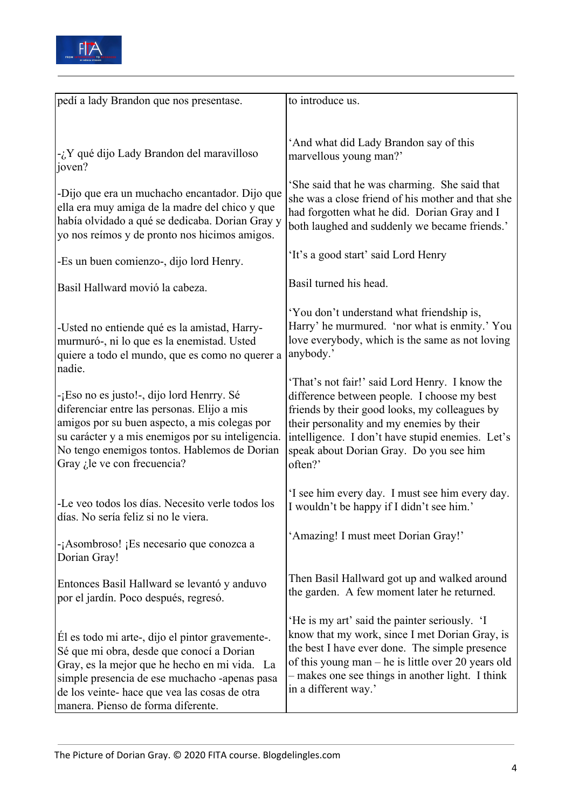

| pedí a lady Brandon que nos presentase.                                                                                                                                                                                                                                             | to introduce us.                                                                                                                                                                                                                                                                                      |
|-------------------------------------------------------------------------------------------------------------------------------------------------------------------------------------------------------------------------------------------------------------------------------------|-------------------------------------------------------------------------------------------------------------------------------------------------------------------------------------------------------------------------------------------------------------------------------------------------------|
| -¿Y qué dijo Lady Brandon del maravilloso                                                                                                                                                                                                                                           | 'And what did Lady Brandon say of this                                                                                                                                                                                                                                                                |
| joven?                                                                                                                                                                                                                                                                              | marvellous young man?'                                                                                                                                                                                                                                                                                |
| -Dijo que era un muchacho encantador. Dijo que                                                                                                                                                                                                                                      | She said that he was charming. She said that                                                                                                                                                                                                                                                          |
| ella era muy amiga de la madre del chico y que                                                                                                                                                                                                                                      | she was a close friend of his mother and that she                                                                                                                                                                                                                                                     |
| había olvidado a qué se dedicaba. Dorian Gray y                                                                                                                                                                                                                                     | had forgotten what he did. Dorian Gray and I                                                                                                                                                                                                                                                          |
| yo nos reímos y de pronto nos hicimos amigos.                                                                                                                                                                                                                                       | both laughed and suddenly we became friends.'                                                                                                                                                                                                                                                         |
| -Es un buen comienzo-, dijo lord Henry.                                                                                                                                                                                                                                             | 'It's a good start' said Lord Henry                                                                                                                                                                                                                                                                   |
| Basil Hallward movió la cabeza.                                                                                                                                                                                                                                                     | Basil turned his head.                                                                                                                                                                                                                                                                                |
| -Usted no entiende qué es la amistad, Harry-                                                                                                                                                                                                                                        | 'You don't understand what friendship is,                                                                                                                                                                                                                                                             |
| murmuró-, ni lo que es la enemistad. Usted                                                                                                                                                                                                                                          | Harry' he murmured. 'nor what is enmity.' You                                                                                                                                                                                                                                                         |
| quiere a todo el mundo, que es como no querer a                                                                                                                                                                                                                                     | love everybody, which is the same as not loving                                                                                                                                                                                                                                                       |
| nadie.                                                                                                                                                                                                                                                                              | anybody.'                                                                                                                                                                                                                                                                                             |
| -¡Eso no es justo!-, dijo lord Henrry. Sé<br>diferenciar entre las personas. Elijo a mis<br>amigos por su buen aspecto, a mis colegas por<br>su carácter y a mis enemigos por su inteligencia.<br>No tengo enemigos tontos. Hablemos de Dorian<br>Gray $\chi$ le ve con frecuencia? | 'That's not fair!' said Lord Henry. I know the<br>difference between people. I choose my best<br>friends by their good looks, my colleagues by<br>their personality and my enemies by their<br>intelligence. I don't have stupid enemies. Let's<br>speak about Dorian Gray. Do you see him<br>often?' |
| -Le veo todos los días. Necesito verle todos los                                                                                                                                                                                                                                    | 'I see him every day. I must see him every day.                                                                                                                                                                                                                                                       |
| días. No sería feliz si no le viera                                                                                                                                                                                                                                                 | I wouldn't be happy if I didn't see him.'                                                                                                                                                                                                                                                             |
| -¡Asombroso! ¡Es necesario que conozca a<br>Dorian Gray!                                                                                                                                                                                                                            | 'Amazing! I must meet Dorian Gray!'                                                                                                                                                                                                                                                                   |
| Entonces Basil Hallward se levantó y anduvo                                                                                                                                                                                                                                         | Then Basil Hallward got up and walked around                                                                                                                                                                                                                                                          |
| por el jardín. Poco después, regresó.                                                                                                                                                                                                                                               | the garden. A few moment later he returned.                                                                                                                                                                                                                                                           |
| El es todo mi arte-, dijo el pintor gravemente-.                                                                                                                                                                                                                                    | 'He is my art' said the painter seriously. 'I                                                                                                                                                                                                                                                         |
| Sé que mi obra, desde que conocí a Dorian                                                                                                                                                                                                                                           | know that my work, since I met Dorian Gray, is                                                                                                                                                                                                                                                        |
| Gray, es la mejor que he hecho en mi vida. La                                                                                                                                                                                                                                       | the best I have ever done. The simple presence                                                                                                                                                                                                                                                        |
| simple presencia de ese muchacho -apenas pasa                                                                                                                                                                                                                                       | of this young man – he is little over 20 years old                                                                                                                                                                                                                                                    |
| de los veinte-hace que vea las cosas de otra                                                                                                                                                                                                                                        | - makes one see things in another light. I think                                                                                                                                                                                                                                                      |
| manera. Pienso de forma diferente.                                                                                                                                                                                                                                                  | in a different way.'                                                                                                                                                                                                                                                                                  |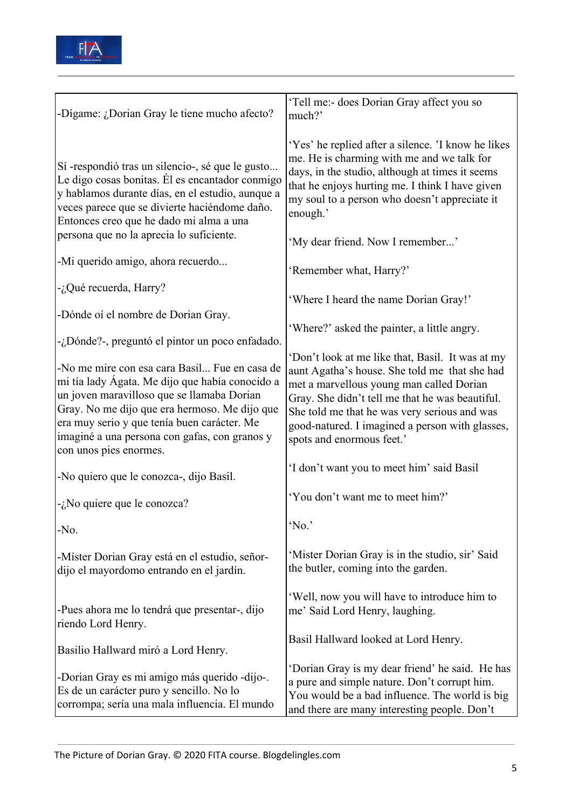

| -Dígame: ¿Dorian Gray le tiene mucho afecto?                                                                                                                                                                                                                                                                              | 'Tell me:- does Dorian Gray affect you so<br>much?'                                                                                                                                                                                                                                                                              |
|---------------------------------------------------------------------------------------------------------------------------------------------------------------------------------------------------------------------------------------------------------------------------------------------------------------------------|----------------------------------------------------------------------------------------------------------------------------------------------------------------------------------------------------------------------------------------------------------------------------------------------------------------------------------|
| Sí -respondió tras un silencio-, sé que le gusto<br>Le digo cosas bonitas. Él es encantador conmigo<br>y hablamos durante días, en el estudio, aunque a<br>veces parece que se divierte haciéndome daño.<br>Entonces creo que he dado mi alma a una                                                                       | 'Yes' he replied after a silence. 'I know he likes<br>me. He is charming with me and we talk for<br>days, in the studio, although at times it seems<br>that he enjoys hurting me. I think I have given<br>my soul to a person who doesn't appreciate it<br>enough.'                                                              |
| persona que no la aprecia lo suficiente.                                                                                                                                                                                                                                                                                  | 'My dear friend. Now I remember'                                                                                                                                                                                                                                                                                                 |
| -Mi querido amigo, ahora recuerdo                                                                                                                                                                                                                                                                                         | 'Remember what, Harry?'                                                                                                                                                                                                                                                                                                          |
| -¿Qué recuerda, Harry?                                                                                                                                                                                                                                                                                                    | 'Where I heard the name Dorian Gray!'                                                                                                                                                                                                                                                                                            |
| -Dónde oí el nombre de Dorian Gray.                                                                                                                                                                                                                                                                                       | 'Where?' asked the painter, a little angry.                                                                                                                                                                                                                                                                                      |
| -¿Dónde?-, preguntó el pintor un poco enfadado.                                                                                                                                                                                                                                                                           |                                                                                                                                                                                                                                                                                                                                  |
| -No me mire con esa cara Basil Fue en casa de<br>mi tía lady Ágata. Me dijo que había conocido a<br>un joven maravilloso que se llamaba Dorian<br>Gray. No me dijo que era hermoso. Me dijo que<br>era muy serio y que tenía buen carácter. Me<br>imaginé a una persona con gafas, con granos y<br>con unos pies enormes. | 'Don't look at me like that, Basil. It was at my<br>aunt Agatha's house. She told me that she had<br>met a marvellous young man called Dorian<br>Gray. She didn't tell me that he was beautiful.<br>She told me that he was very serious and was<br>good-natured. I imagined a person with glasses,<br>spots and enormous feet.' |
| -No quiero que le conozca-, dijo Basil.                                                                                                                                                                                                                                                                                   | 'I don't want you to meet him' said Basil                                                                                                                                                                                                                                                                                        |
| $-i$ No quiere que le conozca?                                                                                                                                                                                                                                                                                            | 'You don't want me to meet him?'                                                                                                                                                                                                                                                                                                 |
| $-N0$ .                                                                                                                                                                                                                                                                                                                   | 'No.                                                                                                                                                                                                                                                                                                                             |
| -Míster Dorian Gray está en el estudio, señor-<br>dijo el mayordomo entrando en el jardín.                                                                                                                                                                                                                                | 'Mister Dorian Gray is in the studio, sir' Said<br>the butler, coming into the garden.                                                                                                                                                                                                                                           |
| -Pues ahora me lo tendrá que presentar-, dijo<br>riendo Lord Henry.                                                                                                                                                                                                                                                       | 'Well, now you will have to introduce him to<br>me' Said Lord Henry, laughing.                                                                                                                                                                                                                                                   |
| Basilio Hallward miró a Lord Henry.                                                                                                                                                                                                                                                                                       | Basil Hallward looked at Lord Henry.                                                                                                                                                                                                                                                                                             |
| -Dorian Gray es mi amigo más querido -dijo-.<br>Es de un carácter puro y sencillo. No lo<br>corrompa; sería una mala influencia. El mundo                                                                                                                                                                                 | 'Dorian Gray is my dear friend' he said. He has<br>a pure and simple nature. Don't corrupt him.<br>You would be a bad influence. The world is big<br>and there are many interesting people. Don't                                                                                                                                |